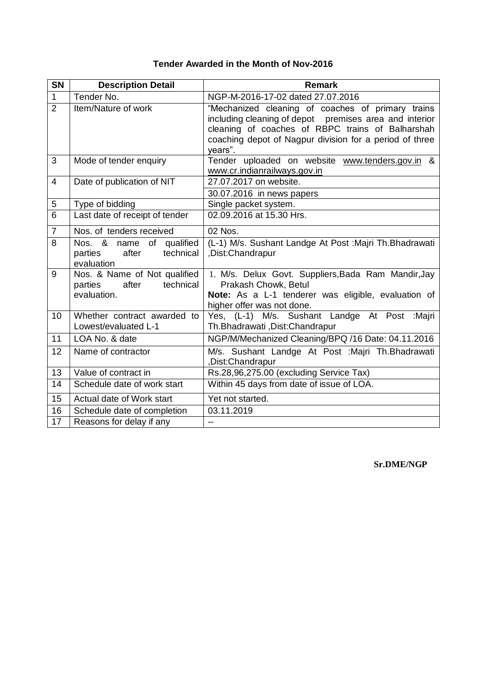| <b>SN</b>      | <b>Description Detail</b>                                                    | <b>Remark</b>                                                                                                                                                                                                                         |
|----------------|------------------------------------------------------------------------------|---------------------------------------------------------------------------------------------------------------------------------------------------------------------------------------------------------------------------------------|
| $\mathbf{1}$   | Tender No.                                                                   | NGP-M-2016-17-02 dated 27.07.2016                                                                                                                                                                                                     |
| $\overline{2}$ | Item/Nature of work                                                          | "Mechanized cleaning of coaches of primary trains<br>including cleaning of depot premises area and interior<br>cleaning of coaches of RBPC trains of Balharshah<br>coaching depot of Nagpur division for a period of three<br>years". |
| 3              | Mode of tender enquiry                                                       | Tender uploaded on website www.tenders.gov.in &<br>www.cr.indianrailways.gov.in                                                                                                                                                       |
| $\overline{4}$ | Date of publication of NIT                                                   | 27.07.2017 on website.                                                                                                                                                                                                                |
|                |                                                                              | 30.07.2016 in news papers                                                                                                                                                                                                             |
| 5              | Type of bidding                                                              | Single packet system.                                                                                                                                                                                                                 |
| $\overline{6}$ | Last date of receipt of tender                                               | 02.09.2016 at 15.30 Hrs.                                                                                                                                                                                                              |
| $\overline{7}$ | Nos. of tenders received                                                     | 02 Nos.                                                                                                                                                                                                                               |
| 8              | Nos. & name of qualified<br>technical<br>parties<br>after<br>evaluation      | (L-1) M/s. Sushant Landge At Post : Majri Th. Bhadrawati<br>,Dist:Chandrapur                                                                                                                                                          |
| 9              | Nos. & Name of Not qualified<br>parties<br>after<br>technical<br>evaluation. | 1. M/s. Delux Govt. Suppliers, Bada Ram Mandir, Jay<br>Prakash Chowk, Betul<br>Note: As a L-1 tenderer was eligible, evaluation of<br>higher offer was not done.                                                                      |
| 10             | Whether contract awarded to<br>Lowest/evaluated L-1                          | Yes, (L-1) M/s. Sushant Landge At Post :Majri<br>Th.Bhadrawati, Dist:Chandrapur                                                                                                                                                       |
| 11             | LOA No. & date                                                               | NGP/M/Mechanized Cleaning/BPQ /16 Date: 04.11.2016                                                                                                                                                                                    |
| 12             | Name of contractor                                                           | M/s. Sushant Landge At Post : Majri Th. Bhadrawati<br>,Dist:Chandrapur                                                                                                                                                                |
| 13             | Value of contract in                                                         | Rs.28,96,275.00 (excluding Service Tax)                                                                                                                                                                                               |
| 14             | Schedule date of work start                                                  | Within 45 days from date of issue of LOA.                                                                                                                                                                                             |
| 15             | Actual date of Work start                                                    | Yet not started.                                                                                                                                                                                                                      |
| 16             | Schedule date of completion                                                  | 03.11.2019                                                                                                                                                                                                                            |
| 17             | Reasons for delay if any                                                     | $\overline{a}$                                                                                                                                                                                                                        |

## **Tender Awarded in the Month of Nov-2016**

**Sr.DME/NGP**